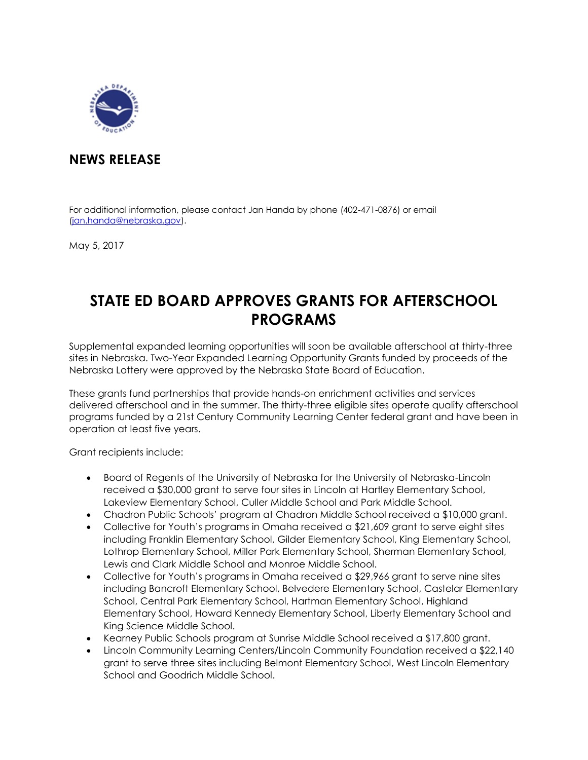

## **NEWS RELEASE**

For additional information, please contact Jan Handa by phone (402-471-0876) or email [\(jan.handa@nebraska.gov\)](mailto:jan.handa@nebraska.gov).

May 5, 2017

## **STATE ED BOARD APPROVES GRANTS FOR AFTERSCHOOL PROGRAMS**

Supplemental expanded learning opportunities will soon be available afterschool at thirty-three sites in Nebraska. Two-Year Expanded Learning Opportunity Grants funded by proceeds of the Nebraska Lottery were approved by the Nebraska State Board of Education.

These grants fund partnerships that provide hands-on enrichment activities and services delivered afterschool and in the summer. The thirty-three eligible sites operate quality afterschool programs funded by a 21st Century Community Learning Center federal grant and have been in operation at least five years.

Grant recipients include:

- Board of Regents of the University of Nebraska for the University of Nebraska-Lincoln received a \$30,000 grant to serve four sites in Lincoln at Hartley Elementary School, Lakeview Elementary School, Culler Middle School and Park Middle School.
- Chadron Public Schools' program at Chadron Middle School received a \$10,000 grant.
- Collective for Youth's programs in Omaha received a \$21,609 grant to serve eight sites including Franklin Elementary School, Gilder Elementary School, King Elementary School, Lothrop Elementary School, Miller Park Elementary School, Sherman Elementary School, Lewis and Clark Middle School and Monroe Middle School.
- Collective for Youth's programs in Omaha received a \$29,966 grant to serve nine sites including Bancroft Elementary School, Belvedere Elementary School, Castelar Elementary School, Central Park Elementary School, Hartman Elementary School, Highland Elementary School, Howard Kennedy Elementary School, Liberty Elementary School and King Science Middle School.
- Kearney Public Schools program at Sunrise Middle School received a \$17,800 grant.
- Lincoln Community Learning Centers/Lincoln Community Foundation received a \$22,140 grant to serve three sites including Belmont Elementary School, West Lincoln Elementary School and Goodrich Middle School.